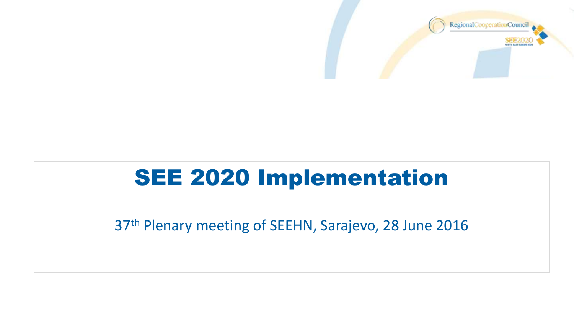

### SEE 2020 Implementation

37th Plenary meeting of SEEHN, Sarajevo, 28 June 2016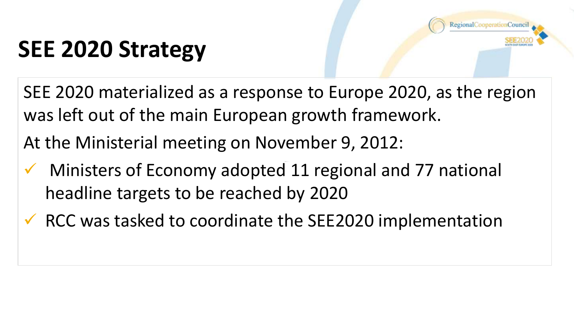

## **SEE 2020 Strategy**

SEE 2020 materialized as a response to Europe 2020, as the region was left out of the main European growth framework.

At the Ministerial meeting on November 9, 2012:

- $\checkmark$  Ministers of Economy adopted 11 regional and 77 national headline targets to be reached by 2020
- $\checkmark$  RCC was tasked to coordinate the SEE2020 implementation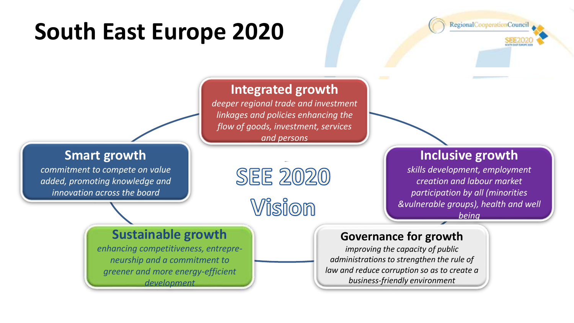## **South East Europe 2020**

RegionalCooperationCouncil

#### **Integrated growth**

*deeper regional trade and investment linkages and policies enhancing the flow of goods, investment, services and persons*

#### **Smart growth**

*commitment to compete on value added, promoting knowledge and innovation across the board*

## **SEE 2020**

### Vision

#### **Inclusive growth**

*skills development, employment creation and labour market participation by all (minorities &vulnerable groups), health and well being*

#### **Sustainable growth**

*enhancing competitiveness, entrepreneurship and a commitment to greener and more energy-efficient development*

#### **Governance for growth**

*improving the capacity of public administrations to strengthen the rule of law and reduce corruption so as to create a business-friendly environment*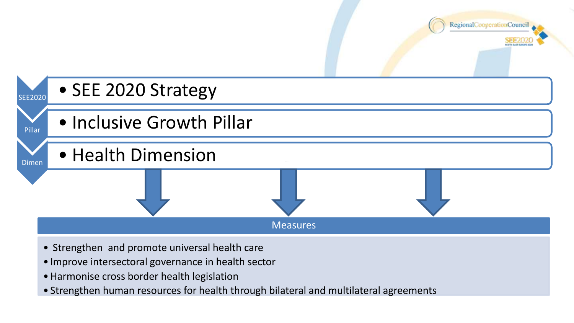



- Strengthen and promote universal health care
- Improve intersectoral governance in health sector
- •Harmonise cross border health legislation
- Strengthen human resources for health through bilateral and multilateral agreements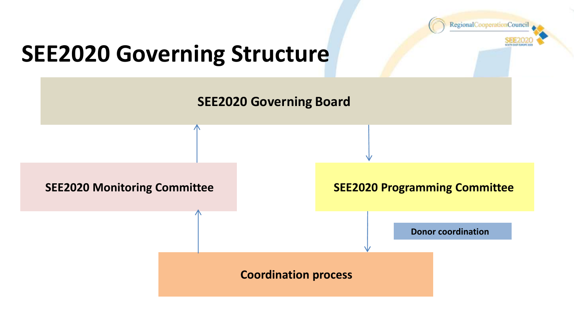

### **SEE2020 Governing Structure**

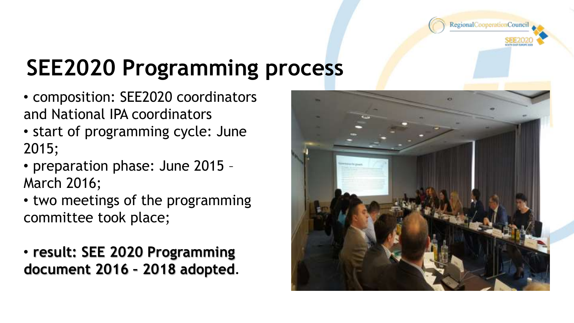

### **SEE2020 Programming process**

- composition: SEE2020 coordinators and National IPA coordinators
- start of programming cycle: June 2015;
- preparation phase: June 2015 March 2016;
- two meetings of the programming committee took place;

• **result: SEE 2020 Programming document 2016 – 2018 adopted**.

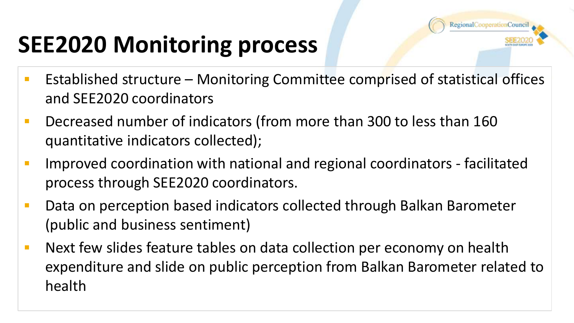

## **SEE2020 Monitoring process**

- Established structure Monitoring Committee comprised of statistical offices and SEE2020 coordinators
- Decreased number of indicators (from more than 300 to less than 160 quantitative indicators collected);
- Improved coordination with national and regional coordinators facilitated process through SEE2020 coordinators.
- **Data on perception based indicators collected through Balkan Barometer** (public and business sentiment)
- **Next few slides feature tables on data collection per economy on health** expenditure and slide on public perception from Balkan Barometer related to health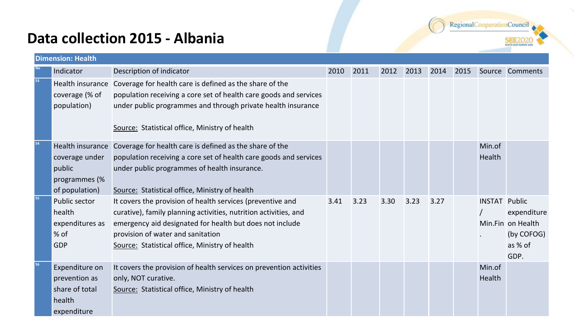#### **Data collection 2015 - Albania**



| <b>Dimension: Health</b> |                                                                            |                                                                                                                                                                                                                                                                                   |      |      |      |      |      |      |                      |                                                                   |
|--------------------------|----------------------------------------------------------------------------|-----------------------------------------------------------------------------------------------------------------------------------------------------------------------------------------------------------------------------------------------------------------------------------|------|------|------|------|------|------|----------------------|-------------------------------------------------------------------|
|                          | Indicator                                                                  | Description of indicator                                                                                                                                                                                                                                                          | 2010 | 2011 | 2012 | 2013 | 2014 | 2015 |                      | Source Comments                                                   |
| 53                       | Health insurance<br>coverage (% of<br>population)                          | Coverage for health care is defined as the share of the<br>population receiving a core set of health care goods and services<br>under public programmes and through private health insurance<br>Source: Statistical office, Ministry of health                                    |      |      |      |      |      |      |                      |                                                                   |
| 54                       | coverage under<br>public<br>programmes (%<br>of population)                | Health insurance Coverage for health care is defined as the share of the<br>population receiving a core set of health care goods and services<br>under public programmes of health insurance.<br>Source: Statistical office, Ministry of health                                   |      |      |      |      |      |      | Min.of<br>Health     |                                                                   |
| 55                       | Public sector<br>health<br>expenditures as<br>% of<br><b>GDP</b>           | It covers the provision of health services (preventive and<br>curative), family planning activities, nutrition activities, and<br>emergency aid designated for health but does not include<br>provision of water and sanitation<br>Source: Statistical office, Ministry of health | 3.41 | 3.23 | 3.30 | 3.23 | 3.27 |      | <b>INSTAT Public</b> | expenditure<br>Min.Fin on Health<br>(by COFOG)<br>as % of<br>GDP. |
|                          | Expenditure on<br>prevention as<br>share of total<br>health<br>expenditure | It covers the provision of health services on prevention activities<br>only, NOT curative.<br>Source: Statistical office, Ministry of health                                                                                                                                      |      |      |      |      |      |      | Min.of<br>Health     |                                                                   |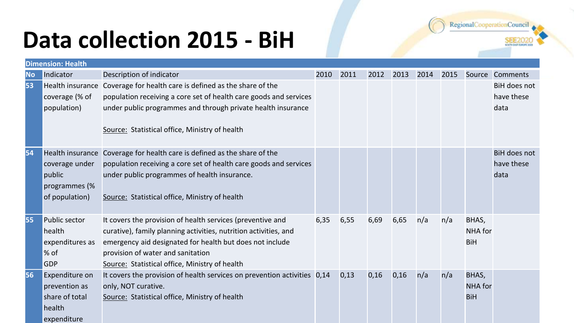## **Data collection 2015 - BiH**

|           | <b>Dimension: Health</b>                                          |                                                                                                                                                                                                                                                                                   |      |      |      |      |      |      |                                |                                           |
|-----------|-------------------------------------------------------------------|-----------------------------------------------------------------------------------------------------------------------------------------------------------------------------------------------------------------------------------------------------------------------------------|------|------|------|------|------|------|--------------------------------|-------------------------------------------|
| <b>No</b> | Indicator                                                         | Description of indicator                                                                                                                                                                                                                                                          | 2010 | 2011 | 2012 | 2013 | 2014 | 2015 | Source                         | Comments                                  |
| 53        | coverage (% of<br>population)                                     | Health insurance Coverage for health care is defined as the share of the<br>population receiving a core set of health care goods and services<br>under public programmes and through private health insurance<br>Source: Statistical office, Ministry of health                   |      |      |      |      |      |      |                                | BiH does not<br>have these<br>data        |
| 54        | coverage under<br>public<br>programmes (%<br>of population)       | Health insurance Coverage for health care is defined as the share of the<br>population receiving a core set of health care goods and services<br>under public programmes of health insurance.<br>Source: Statistical office, Ministry of health                                   |      |      |      |      |      |      |                                | <b>BiH does not</b><br>have these<br>data |
| 55        | Public sector<br>health<br>expenditures as<br>∣% of<br><b>GDP</b> | It covers the provision of health services (preventive and<br>curative), family planning activities, nutrition activities, and<br>emergency aid designated for health but does not include<br>provision of water and sanitation<br>Source: Statistical office, Ministry of health | 6,35 | 6,55 | 6,69 | 6,65 | n/a  | n/a  | BHAS,<br>NHA for<br><b>BiH</b> |                                           |
| 56        | Expenditure on<br>prevention as<br>share of total<br>health       | It covers the provision of health services on prevention activities 0,14<br>only, NOT curative.<br>Source: Statistical office, Ministry of health                                                                                                                                 |      | 0,13 | 0,16 | 0,16 | n/a  | n/a  | BHAS,<br>NHA for<br><b>BiH</b> |                                           |

expenditure

RegionalCooperationCouncil

**SOUTH CAST BUNCH**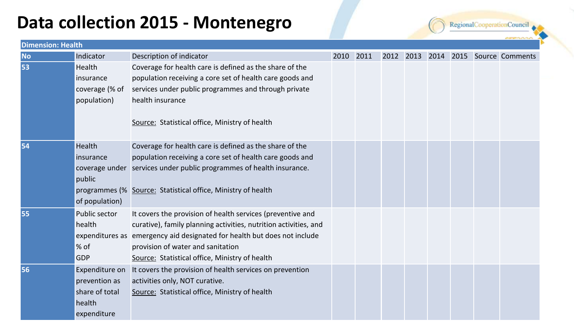### **Data collection 2015 - Montenegro**

RegionalCooperationCouncil

| <b>Dimension: Health</b> |                |                                                                          |      |      |  |  |  |  |  |                                     |
|--------------------------|----------------|--------------------------------------------------------------------------|------|------|--|--|--|--|--|-------------------------------------|
| <b>No</b>                | Indicator      | Description of indicator                                                 | 2010 | 2011 |  |  |  |  |  | 2012 2013 2014 2015 Source Comments |
| 53                       | Health         | Coverage for health care is defined as the share of the                  |      |      |  |  |  |  |  |                                     |
|                          | insurance      | population receiving a core set of health care goods and                 |      |      |  |  |  |  |  |                                     |
|                          | coverage (% of | services under public programmes and through private                     |      |      |  |  |  |  |  |                                     |
|                          | population)    | health insurance                                                         |      |      |  |  |  |  |  |                                     |
|                          |                | Source: Statistical office, Ministry of health                           |      |      |  |  |  |  |  |                                     |
|                          |                |                                                                          |      |      |  |  |  |  |  |                                     |
| 54                       | <b>Health</b>  | Coverage for health care is defined as the share of the                  |      |      |  |  |  |  |  |                                     |
|                          | insurance      | population receiving a core set of health care goods and                 |      |      |  |  |  |  |  |                                     |
|                          |                | coverage under services under public programmes of health insurance.     |      |      |  |  |  |  |  |                                     |
|                          | public         |                                                                          |      |      |  |  |  |  |  |                                     |
|                          |                | programmes (% Source: Statistical office, Ministry of health             |      |      |  |  |  |  |  |                                     |
|                          | of population) |                                                                          |      |      |  |  |  |  |  |                                     |
| 55                       | Public sector  | It covers the provision of health services (preventive and               |      |      |  |  |  |  |  |                                     |
|                          | health         | curative), family planning activities, nutrition activities, and         |      |      |  |  |  |  |  |                                     |
|                          |                | expenditures as emergency aid designated for health but does not include |      |      |  |  |  |  |  |                                     |
|                          | $%$ of         | provision of water and sanitation                                        |      |      |  |  |  |  |  |                                     |
|                          | <b>GDP</b>     | Source: Statistical office, Ministry of health                           |      |      |  |  |  |  |  |                                     |
| 56                       | Expenditure on | It covers the provision of health services on prevention                 |      |      |  |  |  |  |  |                                     |
|                          | prevention as  | activities only, NOT curative.                                           |      |      |  |  |  |  |  |                                     |
|                          | share of total | Source: Statistical office, Ministry of health                           |      |      |  |  |  |  |  |                                     |
|                          | health         |                                                                          |      |      |  |  |  |  |  |                                     |
|                          | expenditure    |                                                                          |      |      |  |  |  |  |  |                                     |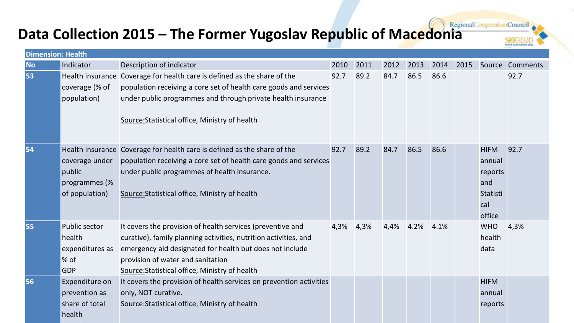# **Data Collection 2015 – The Former Yugoslav Republic of Macedonia**

| . . |  |  |                        |  |
|-----|--|--|------------------------|--|
|     |  |  | ちゃちゃんしょんしょ             |  |
|     |  |  | SOUTH EAST BUNDER 3009 |  |

| <b>Dimension: Health</b> |                                                              |                                                                                                                                                                                                                                                                                   |      |      |      |      |      |      |                                                                      |                 |
|--------------------------|--------------------------------------------------------------|-----------------------------------------------------------------------------------------------------------------------------------------------------------------------------------------------------------------------------------------------------------------------------------|------|------|------|------|------|------|----------------------------------------------------------------------|-----------------|
| <b>No</b>                | Indicator                                                    | Description of indicator                                                                                                                                                                                                                                                          | 2010 | 2011 | 2012 | 2013 | 2014 | 2015 |                                                                      | Source Comments |
| 53                       | coverage (% of<br>population)                                | Health insurance Coverage for health care is defined as the share of the<br>population receiving a core set of health care goods and services<br>under public programmes and through private health insurance<br>Source: Statistical office, Ministry of health                   | 92.7 | 89.2 | 84.7 | 86.5 | 86.6 |      |                                                                      | 92.7            |
| 54                       | coverage under<br>public<br>programmes (%<br>of population)  | Health insurance Coverage for health care is defined as the share of the<br>population receiving a core set of health care goods and services<br>under public programmes of health insurance.<br>Source: Statistical office, Ministry of health                                   | 92.7 | 89.2 | 84.7 | 86.5 | 86.6 |      | <b>HIFM</b><br>annual<br>reports<br>and<br>Statisti<br>cal<br>office | 92.7            |
| 55                       | Public sector<br>health<br>expenditures as<br>$\%$ of<br>GDP | It covers the provision of health services (preventive and<br>curative), family planning activities, nutrition activities, and<br>emergency aid designated for health but does not include<br>provision of water and sanitation<br>Source: Statistical office, Ministry of health | 4,3% | 4,3% | 4,4% | 4.2% | 4.1% |      | <b>WHO</b><br>health<br>data                                         | 4,3%            |
| 56                       | Expenditure on<br>prevention as<br>share of total<br>health  | It covers the provision of health services on prevention activities<br>only, NOT curative.<br>Source: Statistical office, Ministry of health                                                                                                                                      |      |      |      |      |      |      | <b>HIFM</b><br>annual<br>reports                                     |                 |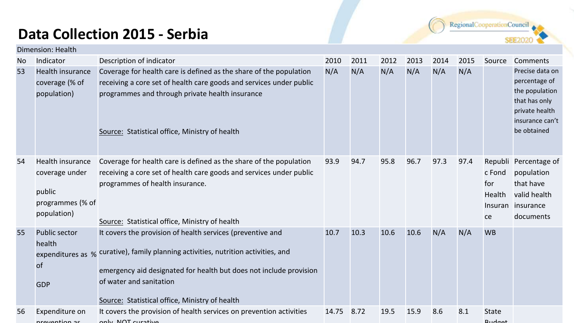#### **Data Collection 2015 - Serbia**

| RegionalCooperationCounci |  |  |
|---------------------------|--|--|
|                           |  |  |

**SEE2020** 

|    | Dimension: Health                                                               |                                                                                                                                                                                                                                                                                                     |       |      |      |      |      |      |                               |                                                                                                                         |
|----|---------------------------------------------------------------------------------|-----------------------------------------------------------------------------------------------------------------------------------------------------------------------------------------------------------------------------------------------------------------------------------------------------|-------|------|------|------|------|------|-------------------------------|-------------------------------------------------------------------------------------------------------------------------|
| No | Indicator                                                                       | Description of indicator                                                                                                                                                                                                                                                                            | 2010  | 2011 | 2012 | 2013 | 2014 | 2015 | Source                        | Comments                                                                                                                |
| 53 | Health insurance<br>coverage (% of<br>population)                               | Coverage for health care is defined as the share of the population<br>receiving a core set of health care goods and services under public<br>programmes and through private health insurance<br>Source: Statistical office, Ministry of health                                                      | N/A   | N/A  | N/A  | N/A  | N/A  | N/A  |                               | Precise data on<br>percentage of<br>the population<br>that has only<br>private health<br>insurance can't<br>be obtained |
| 54 | Health insurance<br>coverage under<br>public<br>programmes (% of<br>population) | Coverage for health care is defined as the share of the population<br>receiving a core set of health care goods and services under public<br>programmes of health insurance.<br>Source: Statistical office, Ministry of health                                                                      | 93.9  | 94.7 | 95.8 | 96.7 | 97.3 | 97.4 | c Fond<br>for<br>Health<br>ce | Republi Percentage of<br>population<br>that have<br>valid health<br>Insuran insurance<br>documents                      |
| 55 | <b>Public sector</b><br>health<br>of<br><b>GDP</b>                              | It covers the provision of health services (preventive and<br>expenditures as % curative), family planning activities, nutrition activities, and<br>emergency aid designated for health but does not include provision<br>of water and sanitation<br>Source: Statistical office, Ministry of health | 10.7  | 10.3 | 10.6 | 10.6 | N/A  | N/A  | <b>WB</b>                     |                                                                                                                         |
| 56 | Expenditure on<br>provention as                                                 | It covers the provision of health services on prevention activities<br>only NOT curative                                                                                                                                                                                                            | 14.75 | 8.72 | 19.5 | 15.9 | 8.6  | 8.1  | State<br>$R_{\text{II}}$ dnat |                                                                                                                         |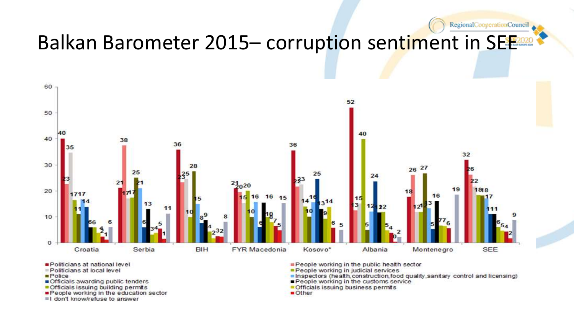

- Politicians at national level
- Politicians at local level
- $P<sub>olice</sub>$
- Officials awarding public tenders
- Officials issuing building permits
- People working in the education sector
- I don't know/refuse to answer
- People working in the public health sector
- People working in judicial services
- Inspectors (health construction food quality sanitary control and licensing)

RegionalCooperationCouncil

- People working in the customs service
- Officials issuing business permits
- **Other**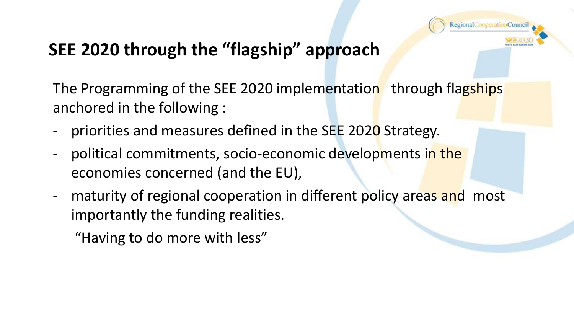

### **SEE 2020 through the "flagship" approach**

The Programming of the SEE 2020 implementation through flagships anchored in the following :

- priorities and measures defined in the SEE 2020 Strategy.
- political commitments, socio-economic developments in the economies concerned (and the EU),
- maturity of regional cooperation in different policy areas and most importantly the funding realities.

"Having to do more with less"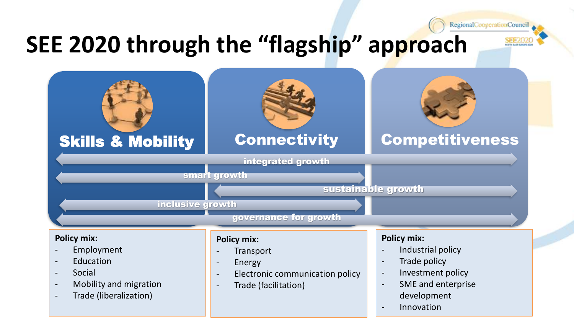### **SEE 2020 through the "flagship" approach**



RegionalCooperationCouncil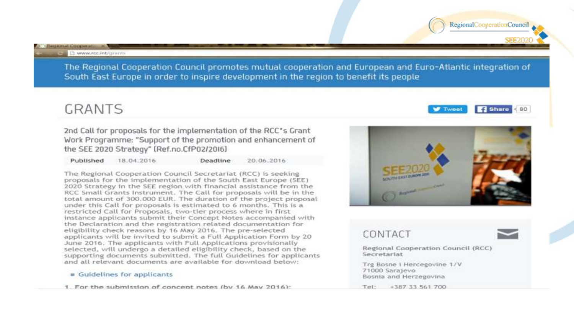**SHIPPING COOPERATE** 

The Regional Cooperation Council promotes mutual cooperation and European and Euro-Atlantic integration of South East Europe in order to inspire development in the region to benefit its people

#### **GRANTS**

2nd Call for proposals for the implementation of the RCC's Grant Work Programme: "Support of the promotion and enhancement of the SEE 2020 Strategy" (Ref.no.CfP02/2016)

Published 18.04.2016 Deadline 20.06.2016

The Regional Cooperation Council Secretariat (RCC) is seeking proposals for the implementation of the South East Europe (SEE) 2020 Strategy in the SEE region with financial assistance from the RCC Small Grants Instrument. The Call for proposals will be in the total amount of 300.000 EUR. The duration of the project proposal under this Call for proposals is estimated to 6 months. This is a restricted Call for Proposals, two-tier process where in first instance applicants submit their Concept Notes accompanied with the Declaration and the registration related documentation for eligibility check reasons by 16 May 2016. The pre-selected applicants will be invited to submit a Full Application Form by 20 June 2016. The applicants with Full Applications provisionally selected, will undergo a detailed eligibility check, based on the supporting documents submitted. The full Guidelines for applicants and all relevant documents are available for download below:

#### Guidelines for applicants

1. For the submission of concept notes (by 16 May 2016):





**W** Tweet

RegionalCooperationCounci

 $f$  Share  $< 80$ 

Bosnia and Herzegovina Test:

+387 33 561 700